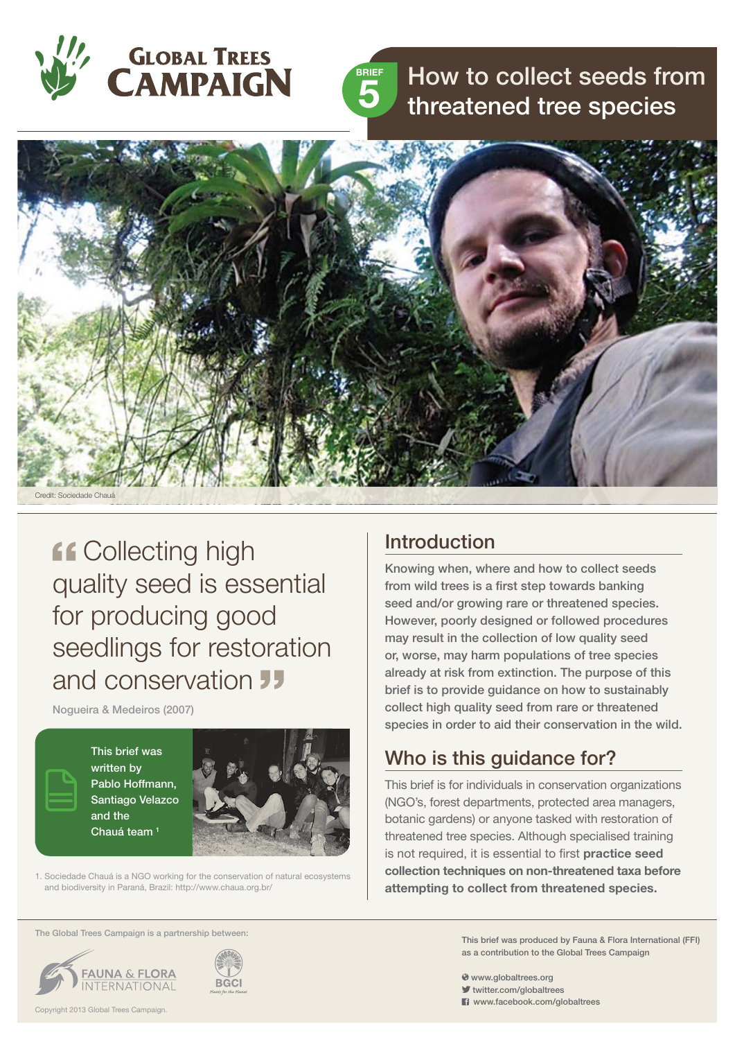



How to collect seeds from threatened tree species



**ff Collecting high** quality seed is essential for producing good seedlings for restoration and conservation **J** 

Nogueira & Medeiros (2007)

This brief was written by Pablo Hoffmann, Santiago Velazco and the Chauá team<sup>1</sup>



1. Sociedade Chauá is a NGO working for the conservation of natural ecosystems and biodiversity in Paraná, Brazil: http://www.chaua.org.br/

#### The Global Trees Campaign is a partnership between:





### Introduction

Knowing when, where and how to collect seeds from wild trees is a first step towards banking seed and/or growing rare or threatened species. However, poorly designed or followed procedures may result in the collection of low quality seed or, worse, may harm populations of tree species already at risk from extinction. The purpose of this brief is to provide guidance on how to sustainably collect high quality seed from rare or threatened species in order to aid their conservation in the wild.

## Who is this guidance for?

This brief is for individuals in conservation organizations (NGO's, forest departments, protected area managers, botanic gardens) or anyone tasked with restoration of threatened tree species. Although specialised training is not required, it is essential to first **practice seed collection techniques on non-threatened taxa before attempting to collect from threatened species.**

> This brief was produced by Fauna & Flora International (FFI) as a contribution to the Global Trees Campaign

- www.globaltrees.org
- twitter.com/globaltrees
- **El** www.facebook.com/globaltrees

Copyright 2013 Global Trees Campaign.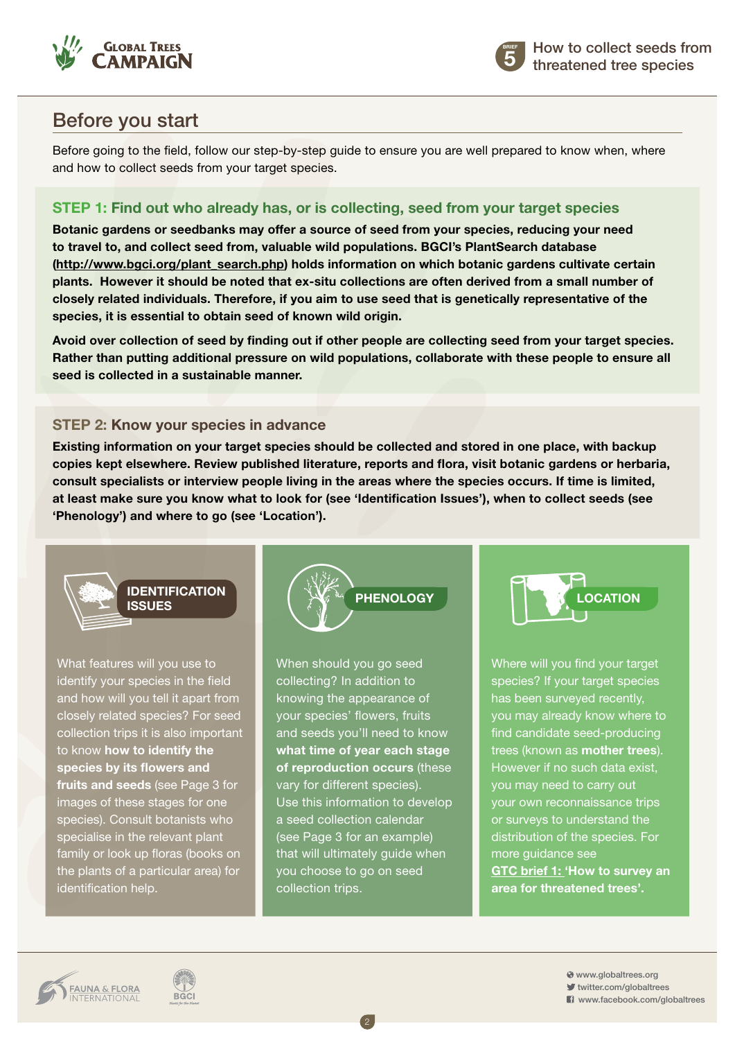



## Before you start

Before going to the field, follow our step-by-step guide to ensure you are well prepared to know when, where and how to collect seeds from your target species.

#### **Step 1: Find out who already has, or is collecting, seed from your target species**

**Botanic gardens or seedbanks may offer a source of seed from your species, reducing your need to travel to, and collect seed from, valuable wild populations. BGCI's PlantSearch database ([http://www.bgci.org/plant\\_search.php]((http://www.bgci.org/plant_search.php))) holds information on which botanic gardens cultivate certain plants. However it should be noted that ex-situ collections are often derived from a small number of closely related individuals. Therefore, if you aim to use seed that is genetically representative of the species, it is essential to obtain seed of known wild origin.**

**Avoid over collection of seed by finding out if other people are collecting seed from your target species. Rather than putting additional pressure on wild populations, collaborate with these people to ensure all seed is collected in a sustainable manner.**

#### **Step 2: Know your species in advance**

**Existing information on your target species should be collected and stored in one place, with backup copies kept elsewhere. Review published literature, reports and flora, visit botanic gardens or herbaria, consult specialists or interview people living in the areas where the species occurs. If time is limited, at least make sure you know what to look for (see 'Identification Issues'), when to collect seeds (see 'Phenology') and where to go (see 'Location').**



What features will you use to identify your species in the field and how will you tell it apart from closely related species? For seed collection trips it is also important to know **how to identify the species by its flowers and fruits and seeds** (see Page 3 for images of these stages for one species). Consult botanists who specialise in the relevant plant family or look up floras (books on the plants of a particular area) for identification help.

**BGCI** 



When should you go seed collecting? In addition to knowing the appearance of your species' flowers, fruits and seeds you'll need to know **what time of year each stage of reproduction occurs** (these vary for different species). Use this information to develop a seed collection calendar (see Page 3 for an example) that will ultimately guide when you choose to go on seed collection trips.

2



Where will you find your target species? If your target species has been surveyed recently, you may already know where to find candidate seed-producing trees (known as **mother trees**). However if no such data exist, you may need to carry out your own reconnaissance trips or surveys to understand the distribution of the species. For more guidance see **[GTC brief 1: 'How to survey an](http://globaltrees.org/resources/how-to-survey-an-area-for-threatened-tree-species/)  [area for threatened trees'.](http://globaltrees.org/resources/how-to-survey-an-area-for-threatened-tree-species/)**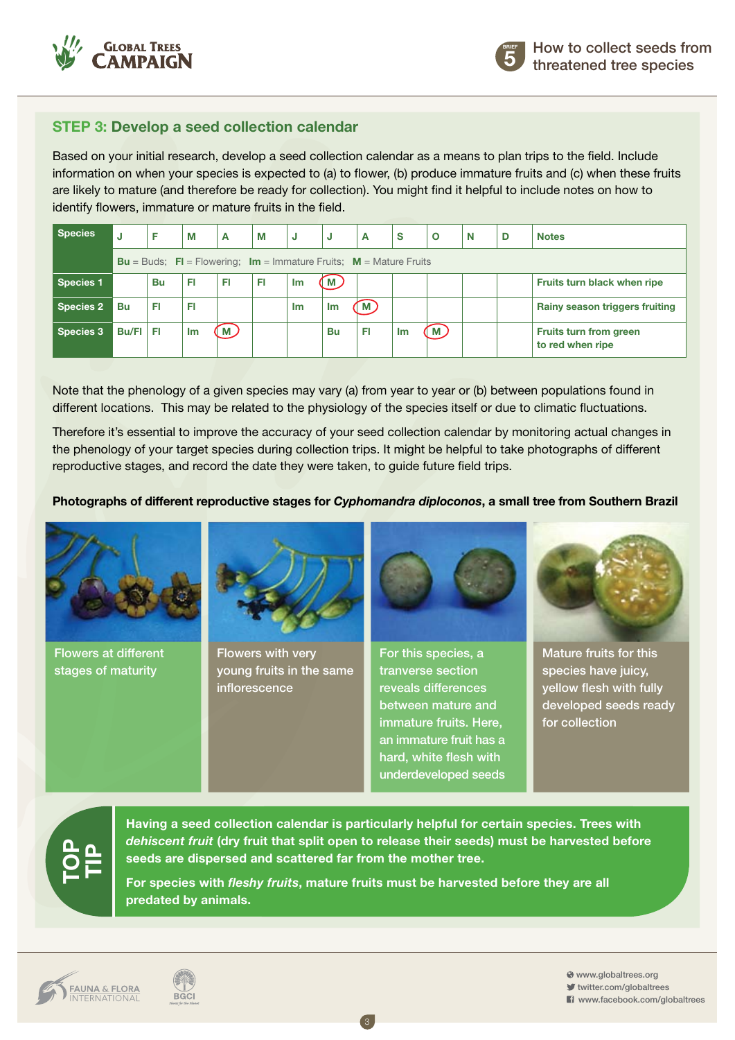

#### **Step 3: Develop a seed collection calendar**

Based on your initial research, develop a seed collection calendar as a means to plan trips to the field. Include information on when your species is expected to (a) to flower, (b) produce immature fruits and (c) when these fruits are likely to mature (and therefore be ready for collection). You might find it helpful to include notes on how to identify flowers, immature or mature fruits in the field.

| <b>Species</b>   | IJ                                                                                             | F  | М  | A  | M  | IJ | J              | A              | <b>S</b> | $\circ$ | N | D | <b>Notes</b>                                      |
|------------------|------------------------------------------------------------------------------------------------|----|----|----|----|----|----------------|----------------|----------|---------|---|---|---------------------------------------------------|
|                  | <b>Bu</b> = Buds; <b>FI</b> = Flowering; <b>Im</b> = Immature Fruits; <b>M</b> = Mature Fruits |    |    |    |    |    |                |                |          |         |   |   |                                                   |
| <b>Species 1</b> |                                                                                                | Bu | FI | FI | FI | Im | M.             |                |          |         |   |   | Fruits turn black when ripe                       |
| <b>Species 2</b> | Bu                                                                                             | FI | FI |    |    | Im | 1 <sub>m</sub> | $\blacksquare$ |          |         |   |   | Rainy season triggers fruiting                    |
| <b>Species 3</b> | <b>Bu/FI</b>                                                                                   | FI | Im | M) |    |    | Bu             | Ħ              | Im       | М       |   |   | <b>Fruits turn from green</b><br>to red when ripe |

Note that the phenology of a given species may vary (a) from year to year or (b) between populations found in different locations. This may be related to the physiology of the species itself or due to climatic fluctuations.

Therefore it's essential to improve the accuracy of your seed collection calendar by monitoring actual changes in the phenology of your target species during collection trips. It might be helpful to take photographs of different reproductive stages, and record the date they were taken, to guide future field trips.

#### **Photographs of different reproductive stages for** *Cyphomandra diploconos***, a small tree from Southern Brazil**



Flowers at different stages of maturity



Flowers with very young fruits in the same inflorescence



For this species, a tranverse section reveals differences between mature and immature fruits. Here, an immature fruit has a hard, white flesh with underdeveloped seeds



Mature fruits for this species have juicy, yellow flesh with fully developed seeds ready for collection

# **TOPTIP**

**Having a seed collection calendar is particularly helpful for certain species. Trees with**  *dehiscent fruit* **(dry fruit that split open to release their seeds) must be harvested before seeds are dispersed and scattered far from the mother tree.** 

**For species with** *fleshy fruits***, mature fruits must be harvested before they are all predated by animals.**

3



**BGCI**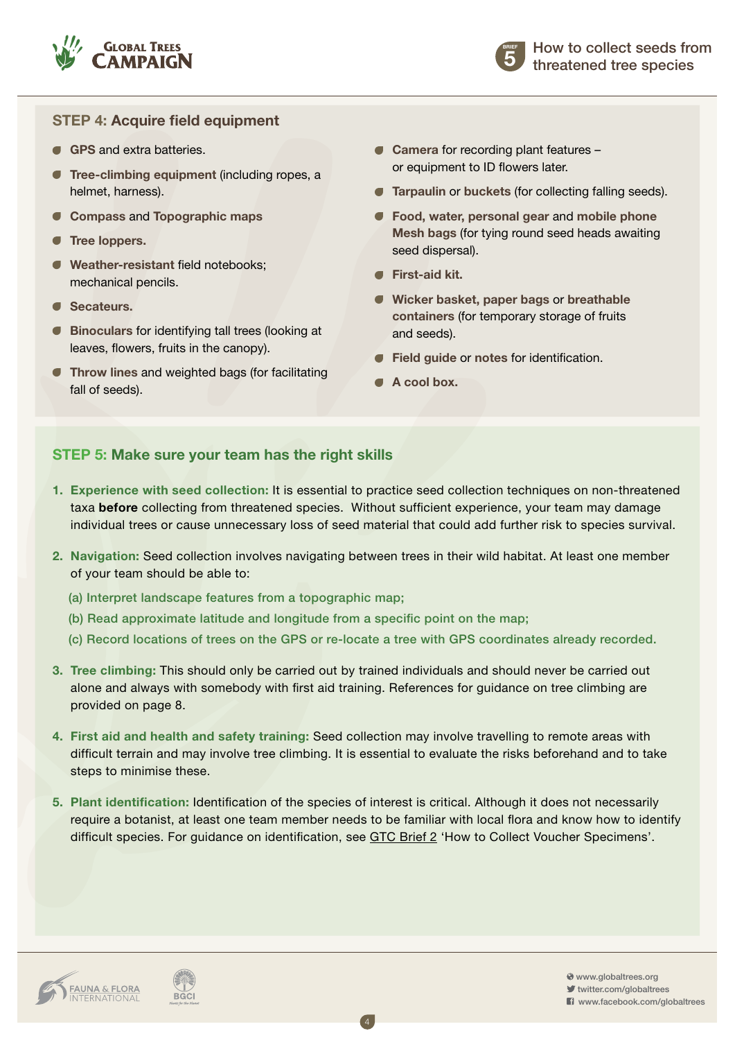

#### **Step 4: Acquire field equipment**

- **GPS** and extra batteries
- **Tree-climbing equipment (including ropes, a** helmet, harness).
- **Compass** and **Topographic maps**
- **Tree loppers.**
- **Weather-resistant** field notebooks; mechanical pencils.
- **Secateurs.**
- **Binoculars** for identifying tall trees (looking at leaves, flowers, fruits in the canopy).
- **Throw lines and weighted bags (for facilitating** fall of seeds).
- **Camera** for recording plant features or equipment to ID flowers later.
- **Tarpaulin** or **buckets** (for collecting falling seeds).
- **Food, water, personal gear** and **mobile phone Mesh bags** (for tying round seed heads awaiting seed dispersal).
- **First-aid kit.**
- **Wicker basket, paper bags** or **breathable containers** (for temporary storage of fruits and seeds).
- **Field guide** or **notes** for identification.
- **A cool box.**

#### **Step 5: Make sure your team has the right skills**

- **1. Experience with seed collection:** It is essential to practice seed collection techniques on non-threatened taxa **before** collecting from threatened species. Without sufficient experience, your team may damage individual trees or cause unnecessary loss of seed material that could add further risk to species survival.
- **2. Navigation:** Seed collection involves navigating between trees in their wild habitat. At least one member of your team should be able to:
	- (a) Interpret landscape features from a topographic map;
	- (b) Read approximate latitude and longitude from a specific point on the map;
	- (c) Record locations of trees on the GPS or re-locate a tree with GPS coordinates already recorded.
- **3. Tree climbing:** This should only be carried out by trained individuals and should never be carried out alone and always with somebody with first aid training. References for guidance on tree climbing are provided on page 8.
- **4. First aid and health and safety training:** Seed collection may involve travelling to remote areas with difficult terrain and may involve tree climbing. It is essential to evaluate the risks beforehand and to take steps to minimise these.
- **5. Plant identification:** Identification of the species of interest is critical. Although it does not necessarily require a botanist, at least one team member needs to be familiar with local flora and know how to identify difficult species. For guidance on identification, see [GTC Brief 2 'How to Collect Voucher Specimens'.](http://globaltrees.org/resources/botanical-information-for-plant-identification)

4

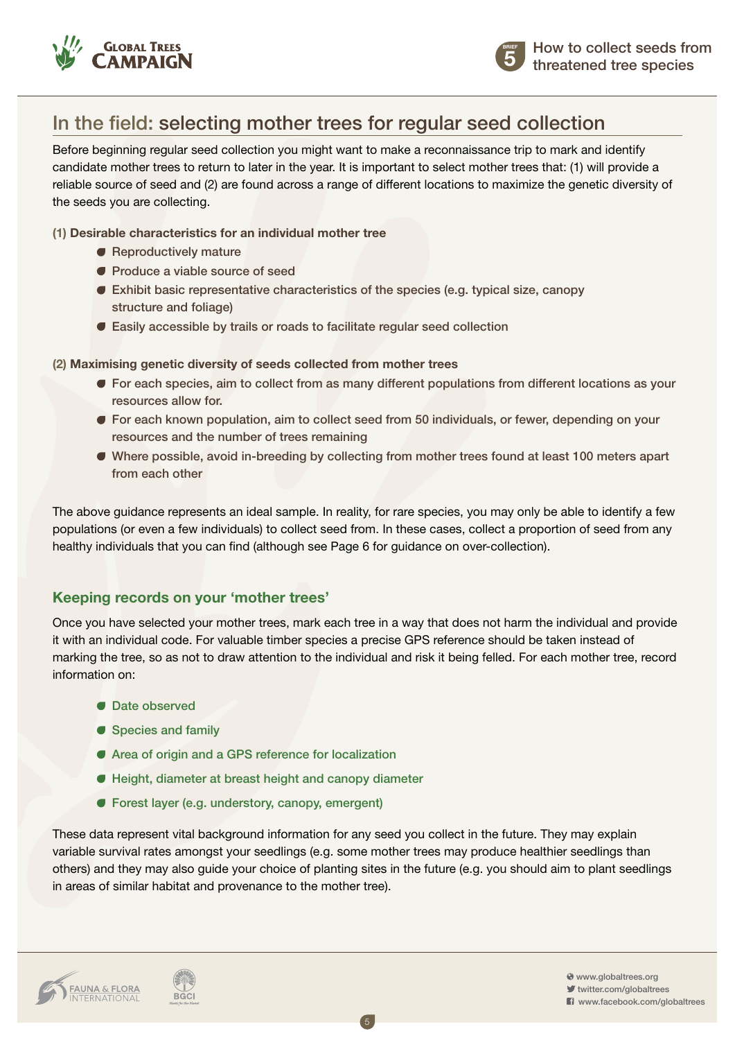



## In the field: selecting mother trees for regular seed collection

Before beginning regular seed collection you might want to make a reconnaissance trip to mark and identify candidate mother trees to return to later in the year. It is important to select mother trees that: (1) will provide a reliable source of seed and (2) are found across a range of different locations to maximize the genetic diversity of the seeds you are collecting.

#### **(1) Desirable characteristics for an individual mother tree**

- Reproductively mature
- **Produce a viable source of seed**
- Exhibit basic representative characteristics of the species (e.g. typical size, canopy structure and foliage)
- Easily accessible by trails or roads to facilitate regular seed collection

#### **(2) Maximising genetic diversity of seeds collected from mother trees**

- For each species, aim to collect from as many different populations from different locations as your resources allow for.
- For each known population, aim to collect seed from 50 individuals, or fewer, depending on your resources and the number of trees remaining
- Where possible, avoid in-breeding by collecting from mother trees found at least 100 meters apart from each other

The above guidance represents an ideal sample. In reality, for rare species, you may only be able to identify a few populations (or even a few individuals) to collect seed from. In these cases, collect a proportion of seed from any healthy individuals that you can find (although see Page 6 for guidance on over-collection).

#### **Keeping records on your 'mother trees'**

Once you have selected your mother trees, mark each tree in a way that does not harm the individual and provide it with an individual code. For valuable timber species a precise GPS reference should be taken instead of marking the tree, so as not to draw attention to the individual and risk it being felled. For each mother tree, record information on:

- **C** Date observed
- Species and family
- Area of origin and a GPS reference for localization
- Height, diameter at breast height and canopy diameter
- Forest layer (e.g. understory, canopy, emergent)

These data represent vital background information for any seed you collect in the future. They may explain variable survival rates amongst your seedlings (e.g. some mother trees may produce healthier seedlings than others) and they may also guide your choice of planting sites in the future (e.g. you should aim to plant seedlings in areas of similar habitat and provenance to the mother tree).

5

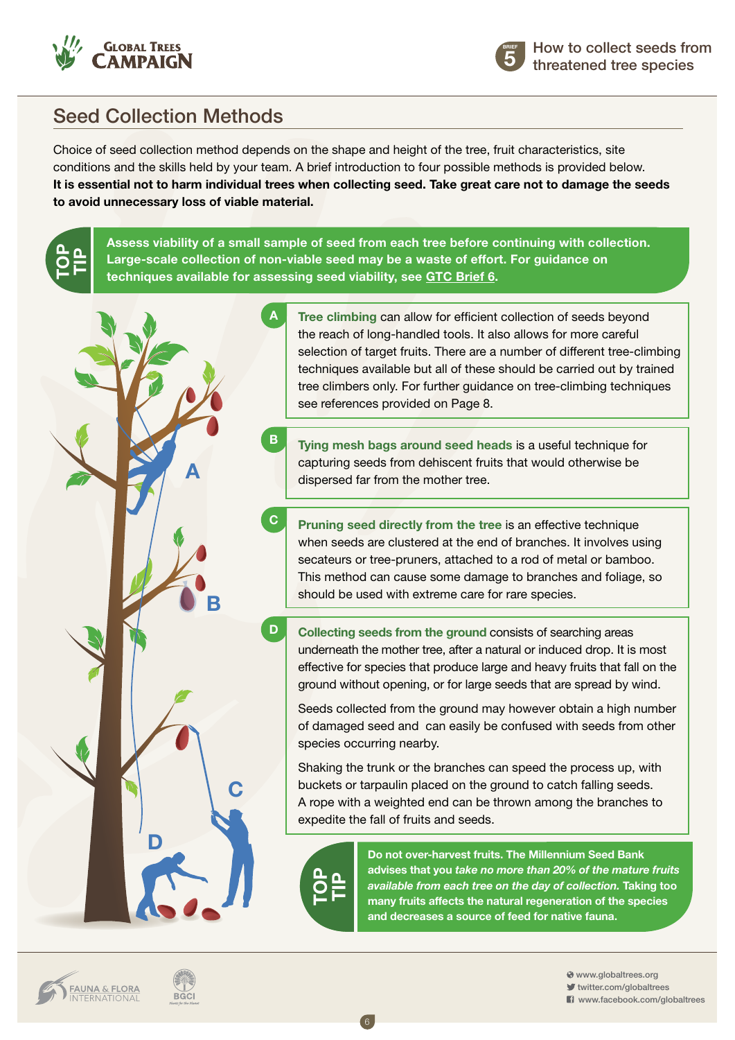

**TOPTIP**



## Seed Collection Methods

Choice of seed collection method depends on the shape and height of the tree, fruit characteristics, site conditions and the skills held by your team. A brief introduction to four possible methods is provided below. **It is essential not to harm individual trees when collecting seed. Take great care not to damage the seeds to avoid unnecessary loss of viable material.**

**Assess viability of a small sample of seed from each tree before continuing with collection. Large-scale collection of non-viable seed may be a waste of effort. For guidance on techniques available for assessing seed viability, see [GTC Brief 6.](http://globaltrees.org/resources/storing-seeds-and-preparing-for-germination)**



**Tree climbing** can allow for efficient collection of seeds beyond the reach of long-handled tools. It also allows for more careful selection of target fruits. There are a number of different tree-climbing techniques available but all of these should be carried out by trained tree climbers only. For further guidance on tree-climbing techniques see references provided on Page 8.

**Tying mesh bags around seed heads** is a useful technique for capturing seeds from dehiscent fruits that would otherwise be dispersed far from the mother tree.

**Pruning seed directly from the tree** is an effective technique when seeds are clustered at the end of branches. It involves using secateurs or tree-pruners, attached to a rod of metal or bamboo. This method can cause some damage to branches and foliage, so should be used with extreme care for rare species.

**Collecting seeds from the ground** consists of searching areas underneath the mother tree, after a natural or induced drop. It is most effective for species that produce large and heavy fruits that fall on the ground without opening, or for large seeds that are spread by wind.

Seeds collected from the ground may however obtain a high number of damaged seed and can easily be confused with seeds from other species occurring nearby.

Shaking the trunk or the branches can speed the process up, with buckets or tarpaulin placed on the ground to catch falling seeds. A rope with a weighted end can be thrown among the branches to expedite the fall of fruits and seeds.



6

**Do not over-harvest fruits. The Millennium Seed Bank advises that you** *take no more than 20% of the mature fruits available from each tree on the day of collection.* **Taking too many fruits affects the natural regeneration of the species and decreases a source of feed for native fauna.**

**FAUNA & FLORA**<br>INTERNATIONAL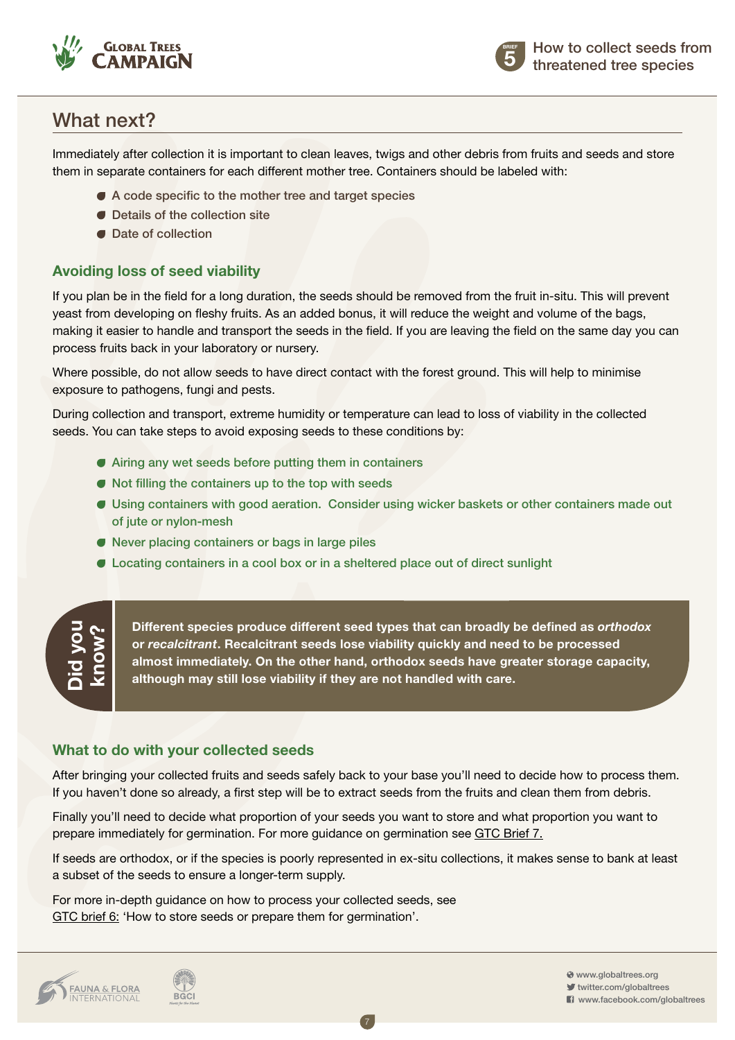



## What next?

Immediately after collection it is important to clean leaves, twigs and other debris from fruits and seeds and store them in separate containers for each different mother tree. Containers should be labeled with:

- A code specific to the mother tree and target species
- Details of the collection site
- Date of collection

#### **Avoiding loss of seed viability**

If you plan be in the field for a long duration, the seeds should be removed from the fruit in-situ. This will prevent yeast from developing on fleshy fruits. As an added bonus, it will reduce the weight and volume of the bags, making it easier to handle and transport the seeds in the field. If you are leaving the field on the same day you can process fruits back in your laboratory or nursery.

Where possible, do not allow seeds to have direct contact with the forest ground. This will help to minimise exposure to pathogens, fungi and pests.

During collection and transport, extreme humidity or temperature can lead to loss of viability in the collected seeds. You can take steps to avoid exposing seeds to these conditions by:

- Airing any wet seeds before putting them in containers
- Not filling the containers up to the top with seeds
- Using containers with good aeration. Consider using wicker baskets or other containers made out of jute or nylon-mesh
- Never placing containers or bags in large piles
- Locating containers in a cool box or in a sheltered place out of direct sunlight

## **Did you know?**

**Different species produce different seed types that can broadly be defined as** *orthodox* **or** *recalcitrant***. Recalcitrant seeds lose viability quickly and need to be processed almost immediately. On the other hand, orthodox seeds have greater storage capacity, although may still lose viability if they are not handled with care.** 

#### **What to do with your collected seeds**

**BGCI** 

After bringing your collected fruits and seeds safely back to your base you'll need to decide how to process them. If you haven't done so already, a first step will be to extract seeds from the fruits and clean them from debris.

Finally you'll need to decide what proportion of your seeds you want to store and what proportion you want to prepare immediately for germination. For more guidance on germination see [GTC Brief 7.](http://globaltrees.org/wp-content/uploads/2014/01/Brief-7-basic-germination-seedling-growth.pdf)

If seeds are orthodox, or if the species is poorly represented in ex-situ collections, it makes sense to bank at least a subset of the seeds to ensure a longer-term supply.

7

For more in-depth guidance on how to process your collected seeds, see [GTC brief 6: 'How to store seeds or prepare them for germination'.](http://globaltrees.org/resources/storing-seeds-and-preparing-for-germination)